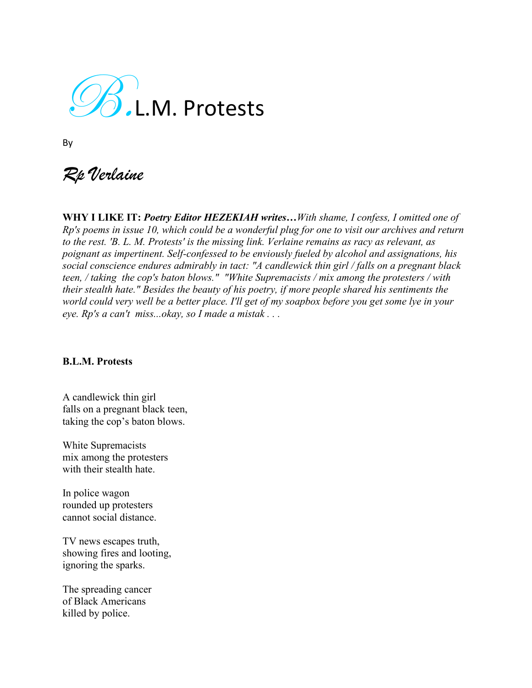$\mathscr{D}$ .L.M. Protests

By

*Rp Verlaine*

**WHY I LIKE IT:** *Poetry Editor HEZEKIAH writes…With shame, I confess, I omitted one of Rp's poems in issue 10, which could be a wonderful plug for one to visit our archives and return to the rest. 'B. L. M. Protests' is the missing link. Verlaine remains as racy as relevant, as poignant as impertinent. Self-confessed to be enviously fueled by alcohol and assignations, his social conscience endures admirably in tact: "A candlewick thin girl / falls on a pregnant black teen, / taking the cop's baton blows." "White Supremacists / mix among the protesters / with their stealth hate." Besides the beauty of his poetry, if more people shared his sentiments the world could very well be a better place. I'll get of my soapbox before you get some lye in your eye. Rp's a can't miss...okay, so I made a mistak . . .* 

## **B.L.M. Protests**

A candlewick thin girl falls on a pregnant black teen, taking the cop's baton blows.

White Supremacists mix among the protesters with their stealth hate.

In police wagon rounded up protesters cannot social distance.

TV news escapes truth, showing fires and looting, ignoring the sparks.

The spreading cancer of Black Americans killed by police.